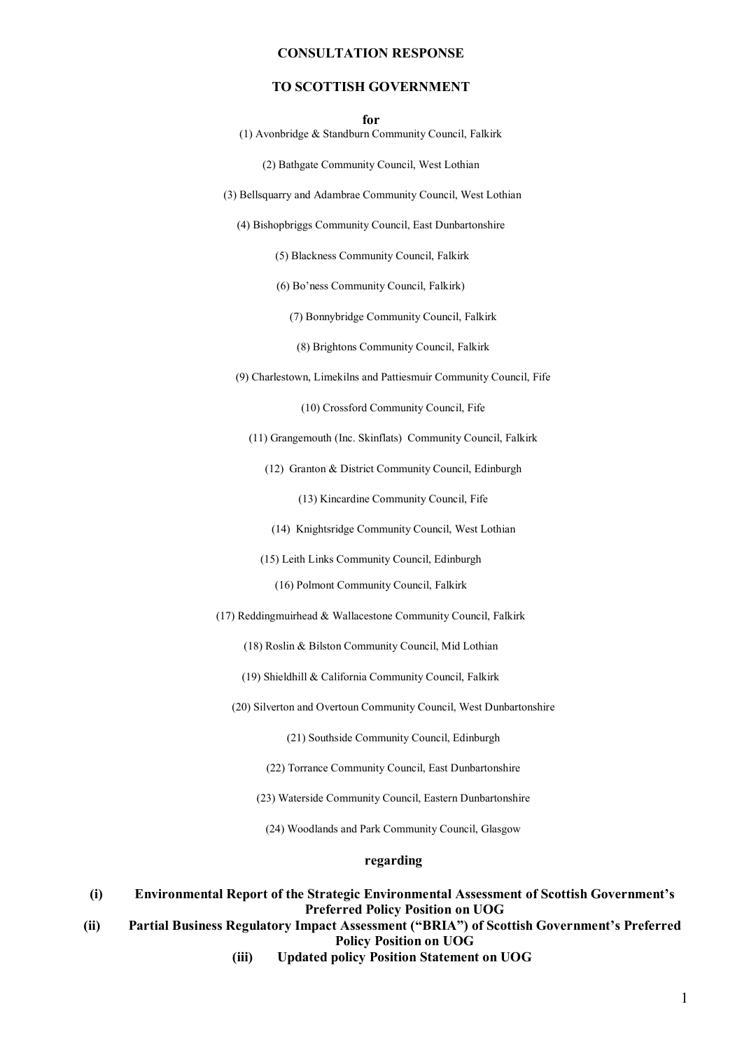#### **CONSULTATION RESPONSE**

#### **TO SCOTTISH GOVERNMENT**

**for**

(1) Avonbridge & Standburn Community Council, Falkirk

(2) Bathgate Community Council, West Lothian

- (3) Bellsquarry and Adambrae Community Council, West Lothian
	- (4) Bishopbriggs Community Council, East Dunbartonshire

(5) Blackness Community Council, Falkirk

(6) Bo'ness Community Council, Falkirk)

(7) Bonnybridge Community Council, Falkirk

(8) Brightons Community Council, Falkirk

(9) Charlestown, Limekilns and Pattiesmuir Community Council, Fife

(10) Crossford Community Council, Fife

(11) Grangemouth (Inc. Skinflats) Community Council, Falkirk

(12) Granton & District Community Council, Edinburgh

(13) Kincardine Community Council, Fife

- (14) Knightsridge Community Council, West Lothian
- (15) Leith Links Community Council, Edinburgh
	- (16) Polmont Community Council, Falkirk
- (17) Reddingmuirhead & Wallacestone Community Council, Falkirk
	- (18) Roslin & Bilston Community Council, Mid Lothian
	- (19) Shieldhill & California Community Council, Falkirk
	- (20) Silverton and Overtoun Community Council, West Dunbartonshire

(21) Southside Community Council, Edinburgh

- (22) Torrance Community Council, East Dunbartonshire
- (23) Waterside Community Council, Eastern Dunbartonshire
	- (24) Woodlands and Park Community Council, Glasgow

#### **regarding**

**(i) Environmental Report of the Strategic Environmental Assessment of Scottish Government's Preferred Policy Position on UOG**

**(ii) Partial Business Regulatory Impact Assessment ("BRIA") of Scottish Government's Preferred Policy Position on UOG**

**(iii) Updated policy Position Statement on UOG**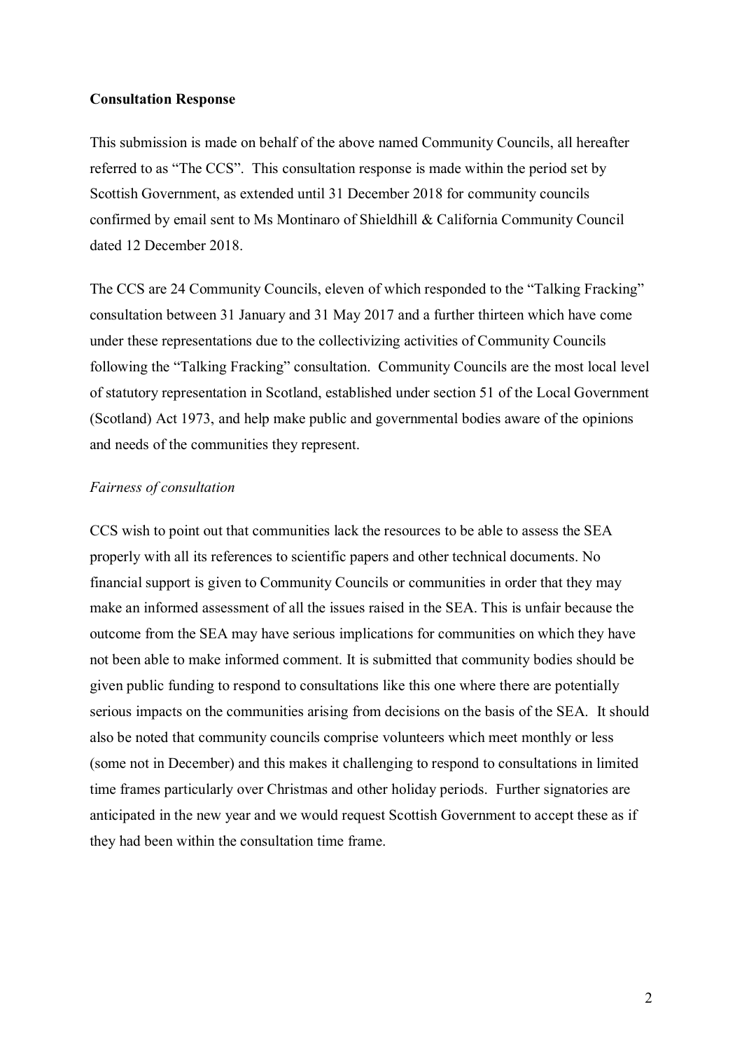#### **Consultation Response**

This submission is made on behalf of the above named Community Councils, all hereafter referred to as "The CCS". This consultation response is made within the period set by Scottish Government, as extended until 31 December 2018 for community councils confirmed by email sent to Ms Montinaro of Shieldhill & California Community Council dated 12 December 2018.

The CCS are 24 Community Councils, eleven of which responded to the "Talking Fracking" consultation between 31 January and 31 May 2017 and a further thirteen which have come under these representations due to the collectivizing activities of Community Councils following the "Talking Fracking" consultation. Community Councils are the most local level of statutory representation in Scotland, established under section 51 of the Local Government (Scotland) Act 1973, and help make public and governmental bodies aware of the opinions and needs of the communities they represent.

#### *Fairness of consultation*

CCS wish to point out that communities lack the resources to be able to assess the SEA properly with all its references to scientific papers and other technical documents. No financial support is given to Community Councils or communities in order that they may make an informed assessment of all the issues raised in the SEA. This is unfair because the outcome from the SEA may have serious implications for communities on which they have not been able to make informed comment. It is submitted that community bodies should be given public funding to respond to consultations like this one where there are potentially serious impacts on the communities arising from decisions on the basis of the SEA. It should also be noted that community councils comprise volunteers which meet monthly or less (some not in December) and this makes it challenging to respond to consultations in limited time frames particularly over Christmas and other holiday periods. Further signatories are anticipated in the new year and we would request Scottish Government to accept these as if they had been within the consultation time frame.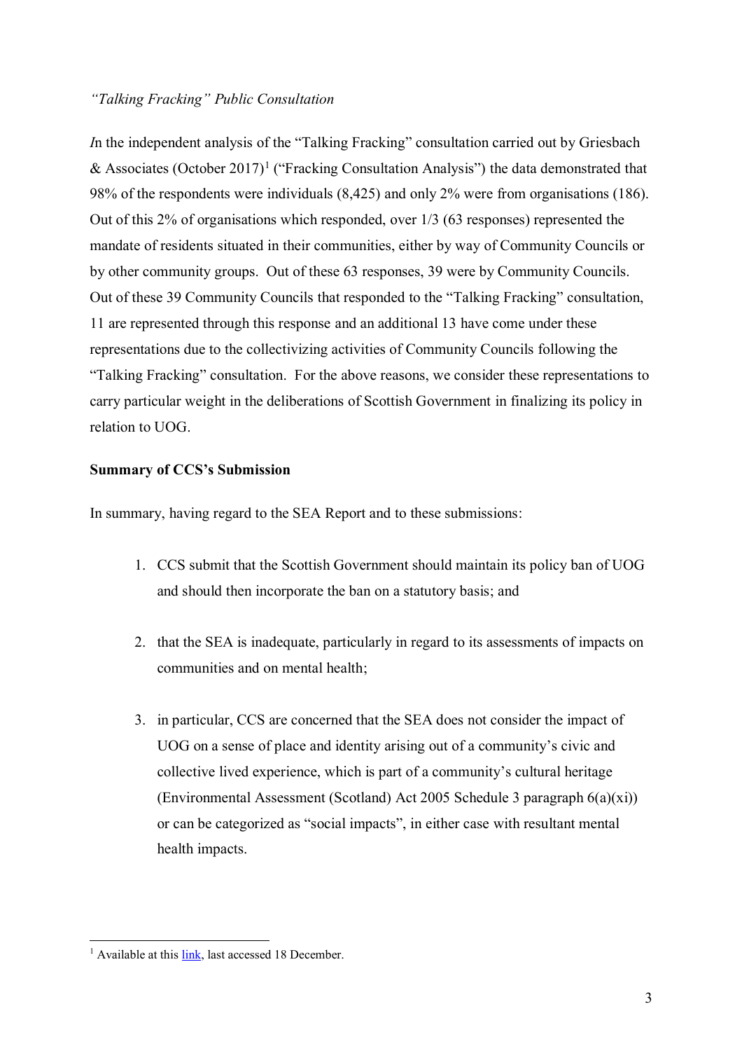#### *"Talking Fracking" Public Consultation*

*I*n the independent analysis of the "Talking Fracking" consultation carried out by Griesbach & Associates (October 2017)<sup>1</sup> ("Fracking Consultation Analysis") the data demonstrated that 98% of the respondents were individuals (8,425) and only 2% were from organisations (186). Out of this 2% of organisations which responded, over 1/3 (63 responses) represented the mandate of residents situated in their communities, either by way of Community Councils or by other community groups. Out of these 63 responses, 39 were by Community Councils. Out of these 39 Community Councils that responded to the "Talking Fracking" consultation, 11 are represented through this response and an additional 13 have come under these representations due to the collectivizing activities of Community Councils following the "Talking Fracking" consultation. For the above reasons, we consider these representations to carry particular weight in the deliberations of Scottish Government in finalizing its policy in relation to UOG.

#### **Summary of CCS's Submission**

In summary, having regard to the SEA Report and to these submissions:

- 1. CCS submit that the Scottish Government should maintain its policy ban of UOG and should then incorporate the ban on a statutory basis; and
- 2. that the SEA is inadequate, particularly in regard to its assessments of impacts on communities and on mental health;
- 3. in particular, CCS are concerned that the SEA does not consider the impact of UOG on a sense of place and identity arising out of a community's civic and collective lived experience, which is part of a community's cultural heritage (Environmental Assessment (Scotland) Act 2005 Schedule 3 paragraph 6(a)(xi)) or can be categorized as "social impacts", in either case with resultant mental health impacts.

<sup>&</sup>lt;sup>1</sup> Available at this [link,](https://www.gov.scot/binaries/content/documents/govscot/publications/report/2017/10/talking-fracking-consultation-unconventional-oil-gas-analysis-responses/documents/00525464-pdf/00525464-pdf/govscot%3Adocument) last accessed 18 December.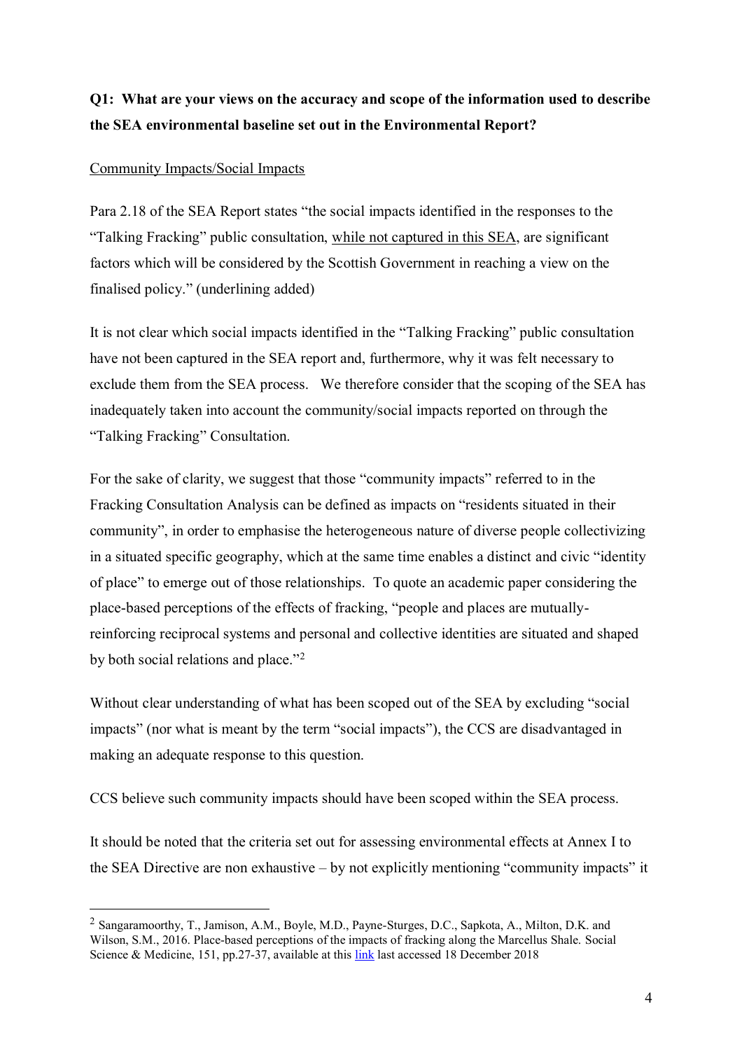# **Q1: What are your views on the accuracy and scope of the information used to describe the SEA environmental baseline set out in the Environmental Report?**

## Community Impacts/Social Impacts

Para 2.18 of the SEA Report states "the social impacts identified in the responses to the "Talking Fracking" public consultation, while not captured in this SEA, are significant factors which will be considered by the Scottish Government in reaching a view on the finalised policy." (underlining added)

It is not clear which social impacts identified in the "Talking Fracking" public consultation have not been captured in the SEA report and, furthermore, why it was felt necessary to exclude them from the SEA process. We therefore consider that the scoping of the SEA has inadequately taken into account the community/social impacts reported on through the "Talking Fracking" Consultation.

For the sake of clarity, we suggest that those "community impacts" referred to in the Fracking Consultation Analysis can be defined as impacts on "residents situated in their community", in order to emphasise the heterogeneous nature of diverse people collectivizing in a situated specific geography, which at the same time enables a distinct and civic "identity of place" to emerge out of those relationships. To quote an academic paper considering the place-based perceptions of the effects of fracking, "people and places are mutuallyreinforcing reciprocal systems and personal and collective identities are situated and shaped by both social relations and place."<sup>2</sup>

Without clear understanding of what has been scoped out of the SEA by excluding "social impacts" (nor what is meant by the term "social impacts"), the CCS are disadvantaged in making an adequate response to this question.

CCS believe such community impacts should have been scoped within the SEA process.

It should be noted that the criteria set out for assessing environmental effects at Annex I to the SEA Directive are non exhaustive – by not explicitly mentioning "community impacts" it

 <sup>2</sup> Sangaramoorthy, T., Jamison, A.M., Boyle, M.D., Payne-Sturges, D.C., Sapkota, A., Milton, D.K. and Wilson, S.M., 2016. Place-based perceptions of the impacts of fracking along the Marcellus Shale. Social Science & Medicine, 151, pp.27-37, available at thi[s link](https://ac.els-cdn.com/S0277953616300028/1-s2.0-S0277953616300028-main.pdf?_tid=5ee4f42b-2342-4932-9196-2ef6c87015d2&acdnat=1545337113_431c6b1566044615817e2bcb47cc56e9) last accessed 18 December 2018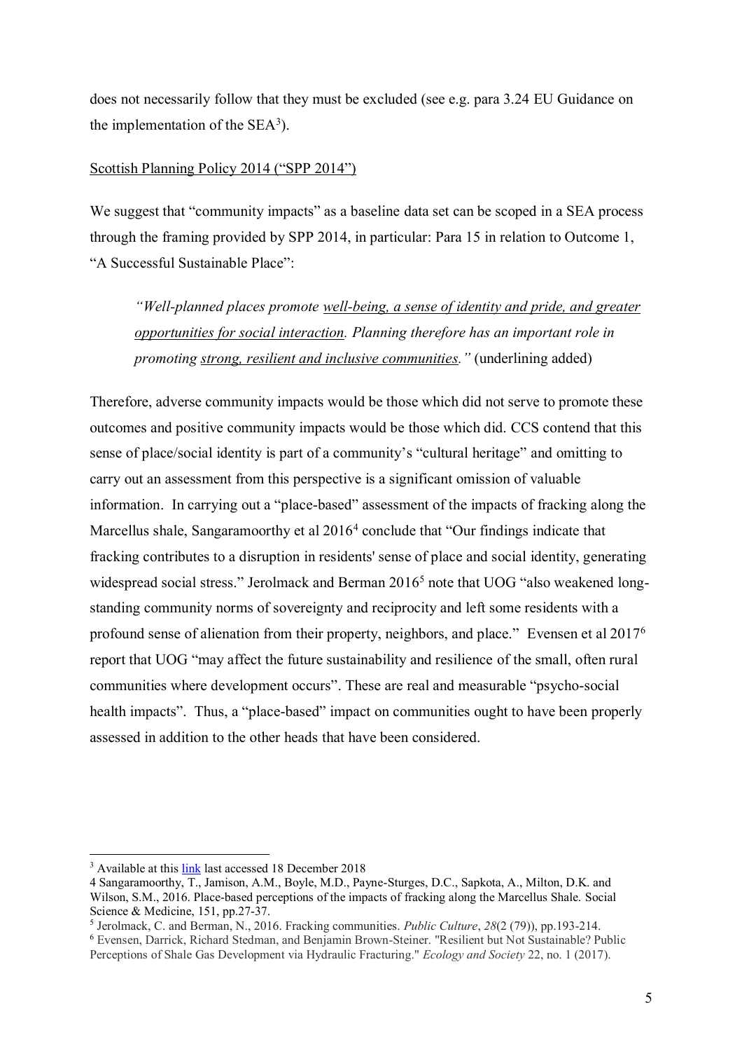does not necessarily follow that they must be excluded (see e.g. para 3.24 EU Guidance on the implementation of the SEA3).

### Scottish Planning Policy 2014 ("SPP 2014")

We suggest that "community impacts" as a baseline data set can be scoped in a SEA process through the framing provided by SPP 2014, in particular: Para 15 in relation to Outcome 1, "A Successful Sustainable Place":

*"Well-planned places promote well-being, a sense of identity and pride, and greater opportunities for social interaction. Planning therefore has an important role in promoting strong, resilient and inclusive communities."* (underlining added)

Therefore, adverse community impacts would be those which did not serve to promote these outcomes and positive community impacts would be those which did. CCS contend that this sense of place/social identity is part of a community's "cultural heritage" and omitting to carry out an assessment from this perspective is a significant omission of valuable information. In carrying out a "place-based" assessment of the impacts of fracking along the Marcellus shale, Sangaramoorthy et al 2016<sup>4</sup> conclude that "Our findings indicate that fracking contributes to a disruption in residents' sense of place and social identity, generating widespread social stress." Jerolmack and Berman 2016<sup>5</sup> note that UOG "also weakened longstanding community norms of sovereignty and reciprocity and left some residents with a profound sense of alienation from their property, neighbors, and place." Evensen et al 20176 report that UOG "may affect the future sustainability and resilience of the small, often rural communities where development occurs". These are real and measurable "psycho-social health impacts". Thus, a "place-based" impact on communities ought to have been properly assessed in addition to the other heads that have been considered.

<sup>&</sup>lt;sup>3</sup> Available at this [link](http://ec.europa.eu/environment/archives/eia/pdf/030923_sea_guidance.pdf) last accessed 18 December 2018

<sup>4</sup> Sangaramoorthy, T., Jamison, A.M., Boyle, M.D., Payne-Sturges, D.C., Sapkota, A., Milton, D.K. and Wilson, S.M., 2016. Place-based perceptions of the impacts of fracking along the Marcellus Shale. Social Science & Medicine, 151, pp.27-37.

<sup>5</sup> Jerolmack, C. and Berman, N., 2016. Fracking communities. *Public Culture*, *28*(2 (79)), pp.193-214.

<sup>6</sup> Evensen, Darrick, Richard Stedman, and Benjamin Brown-Steiner. "Resilient but Not Sustainable? Public Perceptions of Shale Gas Development via Hydraulic Fracturing." *Ecology and Society* 22, no. 1 (2017).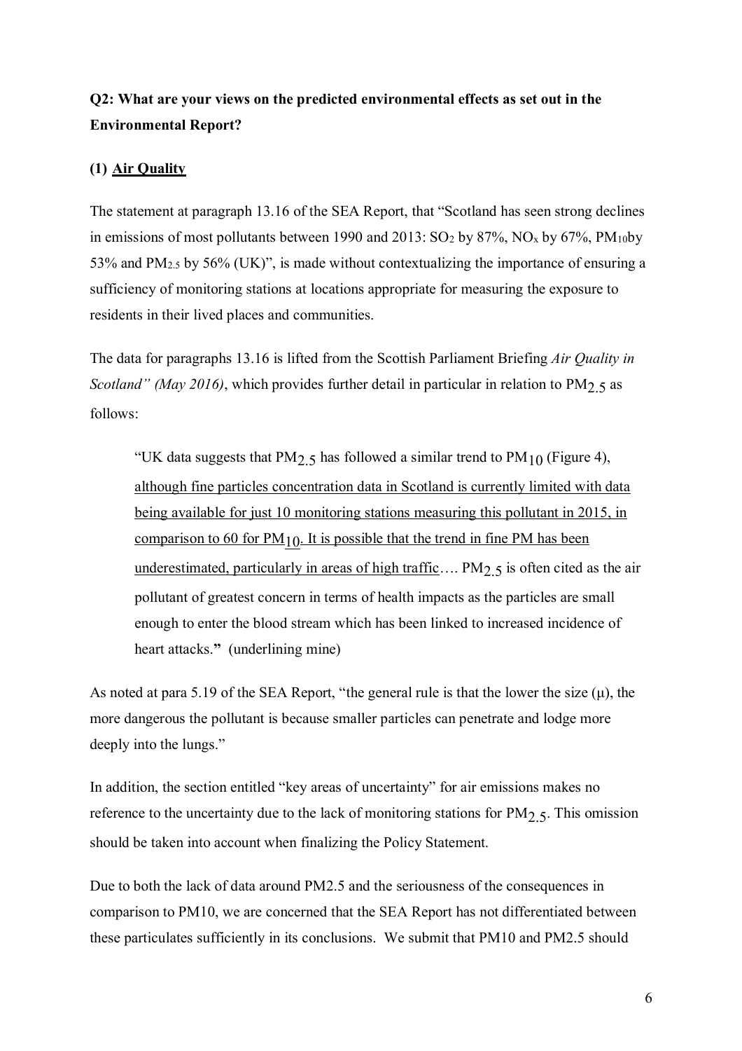# **Q2: What are your views on the predicted environmental effects as set out in the Environmental Report?**

## **(1) Air Quality**

The statement at paragraph 13.16 of the SEA Report, that "Scotland has seen strong declines in emissions of most pollutants between 1990 and 2013:  $SO<sub>2</sub>$  by 87%,  $NO<sub>x</sub>$  by 67%, PM<sub>10</sub>by 53% and PM2.5 by 56% (UK)", is made without contextualizing the importance of ensuring a sufficiency of monitoring stations at locations appropriate for measuring the exposure to residents in their lived places and communities.

The data for paragraphs 13.16 is lifted from the Scottish Parliament Briefing *Air Quality in Scotland" (May 2016)*, which provides further detail in particular in relation to PM<sub>2.5</sub> as follows:

"UK data suggests that PM<sub>2.5</sub> has followed a similar trend to PM<sub>10</sub> (Figure 4), although fine particles concentration data in Scotland is currently limited with data being available for just 10 monitoring stations measuring this pollutant in 2015, in comparison to 60 for  $PM_{10}$ . It is possible that the trend in fine PM has been underestimated, particularly in areas of high traffic....  $PM_{2.5}$  is often cited as the air pollutant of greatest concern in terms of health impacts as the particles are small enough to enter the blood stream which has been linked to increased incidence of heart attacks.**"** (underlining mine)

As noted at para 5.19 of the SEA Report, "the general rule is that the lower the size  $(\mu)$ , the more dangerous the pollutant is because smaller particles can penetrate and lodge more deeply into the lungs."

In addition, the section entitled "key areas of uncertainty" for air emissions makes no reference to the uncertainty due to the lack of monitoring stations for  $PM<sub>2</sub>$ , This omission should be taken into account when finalizing the Policy Statement.

Due to both the lack of data around PM2.5 and the seriousness of the consequences in comparison to PM10, we are concerned that the SEA Report has not differentiated between these particulates sufficiently in its conclusions. We submit that PM10 and PM2.5 should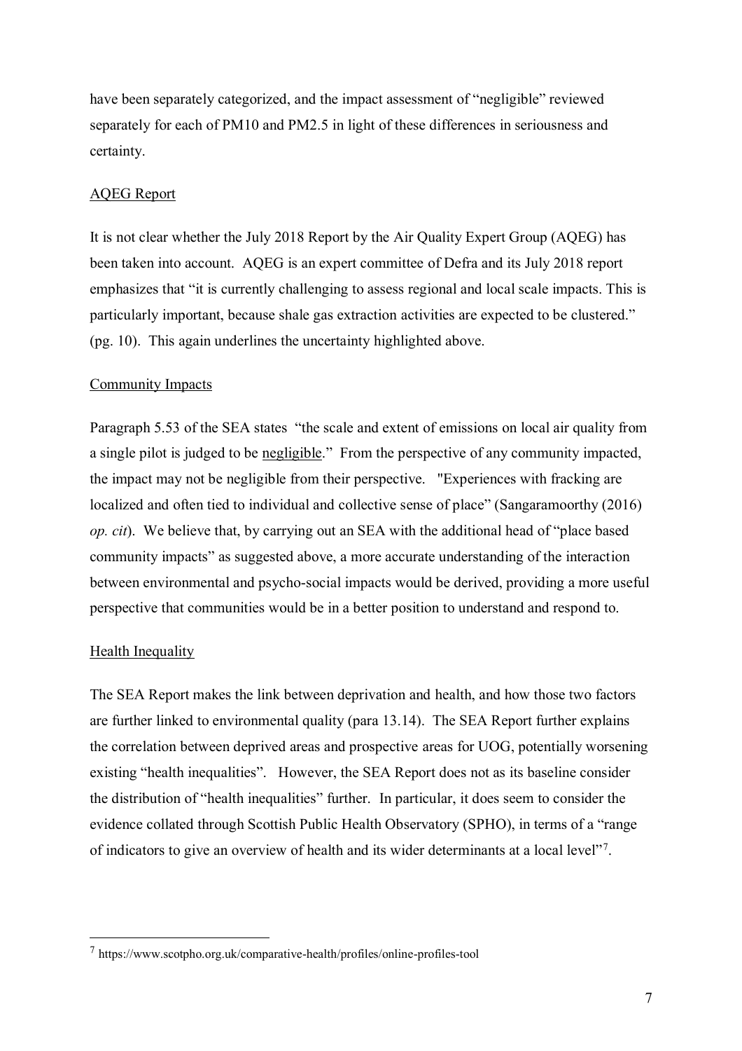have been separately categorized, and the impact assessment of "negligible" reviewed separately for each of PM10 and PM2.5 in light of these differences in seriousness and certainty.

#### AQEG Report

It is not clear whether the July 2018 Report by the Air Quality Expert Group (AQEG) has been taken into account. AQEG is an expert committee of Defra and its July 2018 report emphasizes that "it is currently challenging to assess regional and local scale impacts. This is particularly important, because shale gas extraction activities are expected to be clustered." (pg. 10). This again underlines the uncertainty highlighted above.

#### Community Impacts

Paragraph 5.53 of the SEA states "the scale and extent of emissions on local air quality from a single pilot is judged to be negligible." From the perspective of any community impacted, the impact may not be negligible from their perspective. "Experiences with fracking are localized and often tied to individual and collective sense of place" (Sangaramoorthy (2016) *op. cit*). We believe that, by carrying out an SEA with the additional head of "place based community impacts" as suggested above, a more accurate understanding of the interaction between environmental and psycho-social impacts would be derived, providing a more useful perspective that communities would be in a better position to understand and respond to.

#### Health Inequality

The SEA Report makes the link between deprivation and health, and how those two factors are further linked to environmental quality (para 13.14). The SEA Report further explains the correlation between deprived areas and prospective areas for UOG, potentially worsening existing "health inequalities". However, the SEA Report does not as its baseline consider the distribution of "health inequalities" further. In particular, it does seem to consider the evidence collated through Scottish Public Health Observatory (SPHO), in terms of a "range of indicators to give an overview of health and its wider determinants at a local level"7.

 <sup>7</sup> https://www.scotpho.org.uk/comparative-health/profiles/online-profiles-tool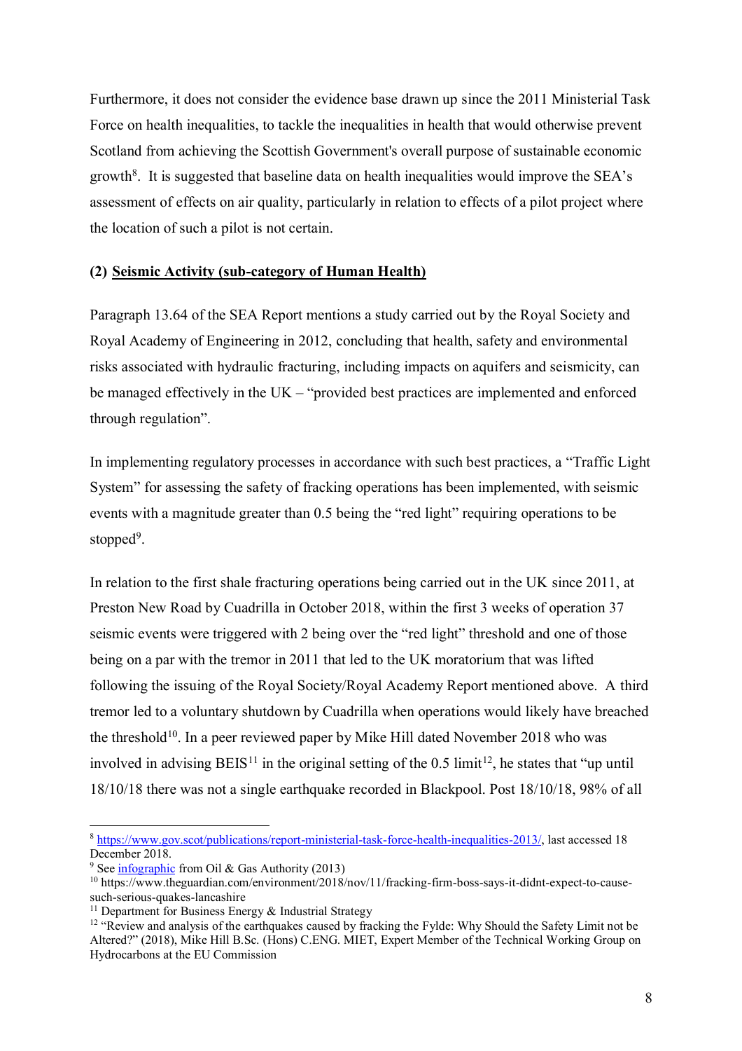Furthermore, it does not consider the evidence base drawn up since the 2011 Ministerial Task Force on health inequalities, to tackle the inequalities in health that would otherwise prevent Scotland from achieving the Scottish Government's overall purpose of sustainable economic growth<sup>8</sup>. It is suggested that baseline data on health inequalities would improve the  $SEA$ 's assessment of effects on air quality, particularly in relation to effects of a pilot project where the location of such a pilot is not certain.

#### **(2) Seismic Activity (sub-category of Human Health)**

Paragraph 13.64 of the SEA Report mentions a study carried out by the Royal Society and Royal Academy of Engineering in 2012, concluding that health, safety and environmental risks associated with hydraulic fracturing, including impacts on aquifers and seismicity, can be managed effectively in the UK – "provided best practices are implemented and enforced through regulation".

In implementing regulatory processes in accordance with such best practices, a "Traffic Light System" for assessing the safety of fracking operations has been implemented, with seismic events with a magnitude greater than 0.5 being the "red light" requiring operations to be stopped<sup>9</sup>.

In relation to the first shale fracturing operations being carried out in the UK since 2011, at Preston New Road by Cuadrilla in October 2018, within the first 3 weeks of operation 37 seismic events were triggered with 2 being over the "red light" threshold and one of those being on a par with the tremor in 2011 that led to the UK moratorium that was lifted following the issuing of the Royal Society/Royal Academy Report mentioned above. A third tremor led to a voluntary shutdown by Cuadrilla when operations would likely have breached the threshold<sup>10</sup>. In a peer reviewed paper by Mike Hill dated November 2018 who was involved in advising  $B E I S^{11}$  in the original setting of the 0.5 limit<sup>12</sup>, he states that "up until" 18/10/18 there was not a single earthquake recorded in Blackpool. Post 18/10/18, 98% of all

 <sup>8</sup> [https://www.gov.scot/publications/report-ministerial-task-force-health-inequalities-2013/,](https://www.gov.scot/publications/report-ministerial-task-force-health-inequalities-2013/) last accessed 18 December 2018.

<sup>9</sup> Se[e infographic](https://assets.publishing.service.gov.uk/government/uploads/system/uploads/attachment_data/file/747003/Managing_Seismicity_Infographic_Final.pdf) from Oil & Gas Authority (2013)

<sup>10</sup> https://www.theguardian.com/environment/2018/nov/11/fracking-firm-boss-says-it-didnt-expect-to-causesuch-serious-quakes-lancashire

<sup>&</sup>lt;sup>11</sup> Department for Business Energy  $\&$  Industrial Strategy

<sup>&</sup>lt;sup>12</sup> "Review and analysis of the earthquakes caused by fracking the Fylde: Why Should the Safety Limit not be Altered?" (2018), Mike Hill B.Sc. (Hons) C.ENG. MIET, Expert Member of the Technical Working Group on Hydrocarbons at the EU Commission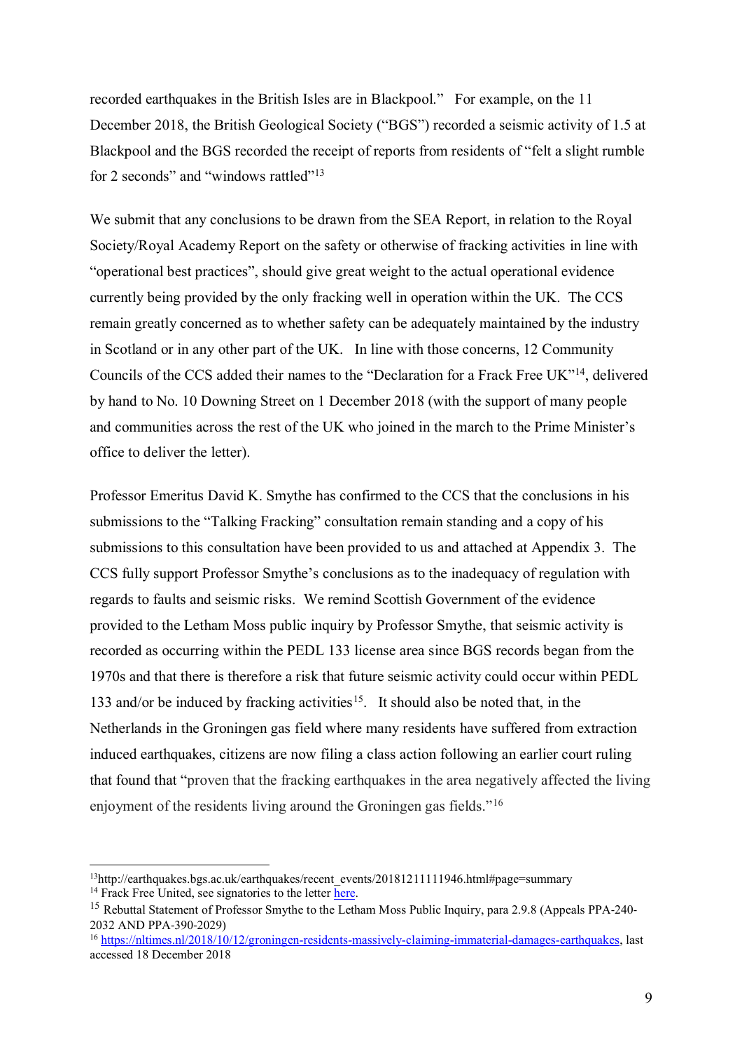recorded earthquakes in the British Isles are in Blackpool." For example, on the 11 December 2018, the British Geological Society ("BGS") recorded a seismic activity of 1.5 at Blackpool and the BGS recorded the receipt of reports from residents of "felt a slight rumble for 2 seconds" and "windows rattled"<sup>13</sup>

We submit that any conclusions to be drawn from the SEA Report, in relation to the Royal Society/Royal Academy Report on the safety or otherwise of fracking activities in line with "operational best practices", should give great weight to the actual operational evidence currently being provided by the only fracking well in operation within the UK. The CCS remain greatly concerned as to whether safety can be adequately maintained by the industry in Scotland or in any other part of the UK. In line with those concerns, 12 Community Councils of the CCS added their names to the "Declaration for a Frack Free UK"14, delivered by hand to No. 10 Downing Street on 1 December 2018 (with the support of many people and communities across the rest of the UK who joined in the march to the Prime Minister's office to deliver the letter).

Professor Emeritus David K. Smythe has confirmed to the CCS that the conclusions in his submissions to the "Talking Fracking" consultation remain standing and a copy of his submissions to this consultation have been provided to us and attached at Appendix 3. The CCS fully support Professor Smythe's conclusions as to the inadequacy of regulation with regards to faults and seismic risks. We remind Scottish Government of the evidence provided to the Letham Moss public inquiry by Professor Smythe, that seismic activity is recorded as occurring within the PEDL 133 license area since BGS records began from the 1970s and that there is therefore a risk that future seismic activity could occur within PEDL 133 and/or be induced by fracking activities<sup>15</sup>. It should also be noted that, in the Netherlands in the Groningen gas field where many residents have suffered from extraction induced earthquakes, citizens are now filing a class action following an earlier court ruling that found that "proven that the fracking earthquakes in the area negatively affected the living enjoyment of the residents living around the Groningen gas fields."<sup>16</sup>

 <sup>13</sup>http://earthquakes.bgs.ac.uk/earthquakes/recent\_events/20181211111946.html#page=summary  $14$  Frack Free United, see signatories to the letter [here.](https://docs.google.com/document/d/e/2PACX-1vS0hiapMho_6OLR1XDkEg4yS5Q_cIzeqcI27pAmNbOUeX9LdmlNKpEnQ0_GvUHm7PBBQ8o2gE7eqmbs/pub)

<sup>15</sup> Rebuttal Statement of Professor Smythe to the Letham Moss Public Inquiry, para 2.9.8 (Appeals PPA‐240‐ 2032 AND PPA‐390‐2029)

<sup>16</sup> [https://nltimes.nl/2018/10/12/groningen-residents-massively-claiming-immaterial-damages-earthquakes,](https://nltimes.nl/2018/10/12/groningen-residents-massively-claiming-immaterial-damages-earthquakes) last accessed 18 December 2018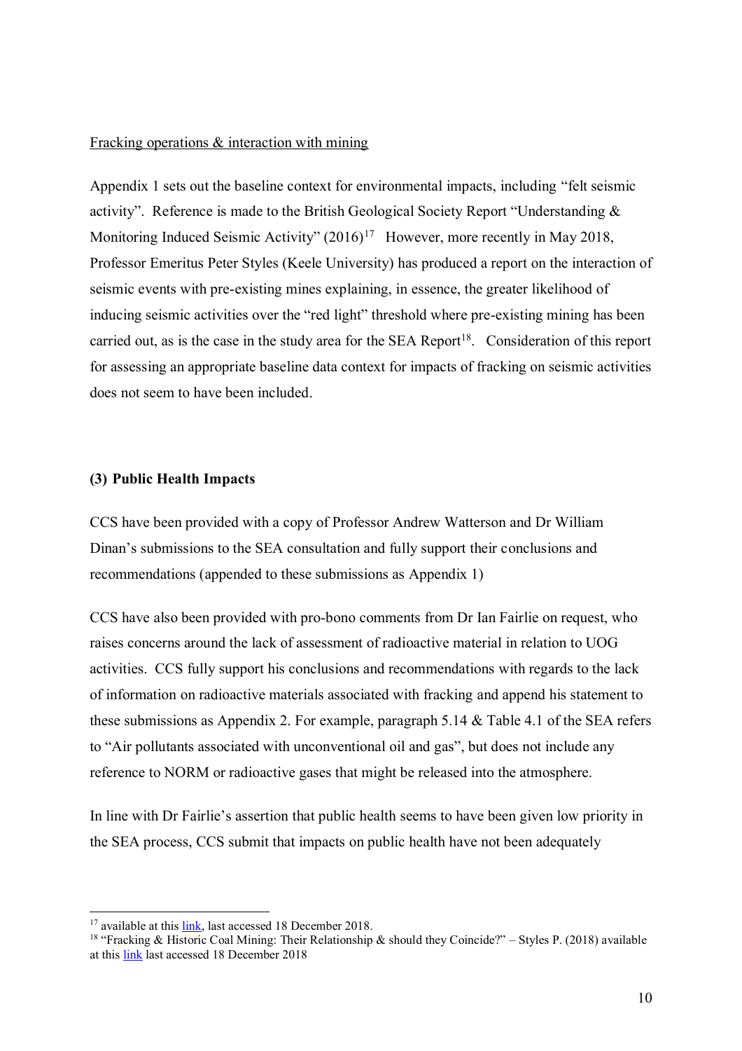#### Fracking operations & interaction with mining

Appendix 1 sets out the baseline context for environmental impacts, including "felt seismic activity". Reference is made to the British Geological Society Report "Understanding & Monitoring Induced Seismic Activity" (2016)<sup>17</sup> However, more recently in May 2018, Professor Emeritus Peter Styles (Keele University) has produced a report on the interaction of seismic events with pre-existing mines explaining, in essence, the greater likelihood of inducing seismic activities over the "red light" threshold where pre-existing mining has been carried out, as is the case in the study area for the SEA Report<sup>18</sup>. Consideration of this report for assessing an appropriate baseline data context for impacts of fracking on seismic activities does not seem to have been included.

#### **(3) Public Health Impacts**

CCS have been provided with a copy of Professor Andrew Watterson and Dr William Dinan's submissions to the SEA consultation and fully support their conclusions and recommendations (appended to these submissions as Appendix 1)

CCS have also been provided with pro-bono comments from Dr Ian Fairlie on request, who raises concerns around the lack of assessment of radioactive material in relation to UOG activities. CCS fully support his conclusions and recommendations with regards to the lack of information on radioactive materials associated with fracking and append his statement to these submissions as Appendix 2. For example, paragraph 5.14 & Table 4.1 of the SEA refers to "Air pollutants associated with unconventional oil and gas", but does not include any reference to NORM or radioactive gases that might be released into the atmosphere.

In line with Dr Fairlie's assertion that public health seems to have been given low priority in the SEA process, CCS submit that impacts on public health have not been adequately

<sup>&</sup>lt;sup>17</sup> available at this [link,](https://www2.gov.scot/Resource/0050/00509318.pdf) last accessed 18 December 2018.

<sup>&</sup>lt;sup>18</sup> "Fracking & Historic Coal Mining: Their Relationship & should they Coincide?" – Styles P. (2018) available at thi[s link](https://www.keele.ac.uk/media/keeleuniversity/facnatsci/schgge/news/2018/Fracking%20and%20Mining-%20Styles%202018.pdf) last accessed 18 December 2018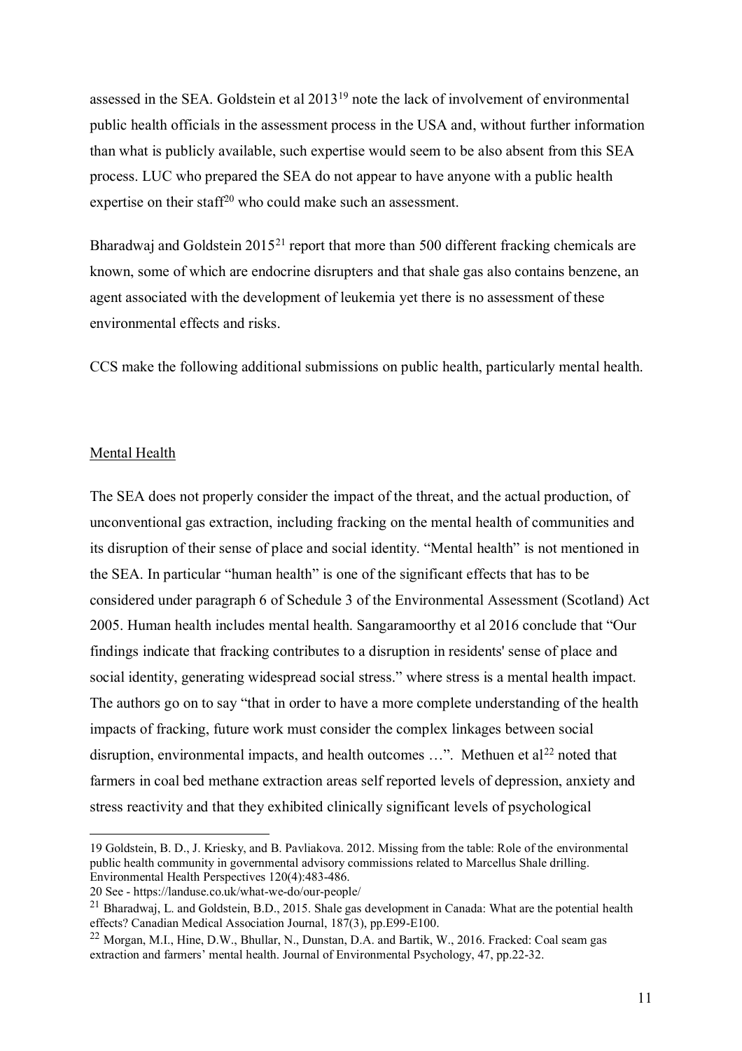assessed in the SEA. Goldstein et al 201319 note the lack of involvement of environmental public health officials in the assessment process in the USA and, without further information than what is publicly available, such expertise would seem to be also absent from this SEA process. LUC who prepared the SEA do not appear to have anyone with a public health expertise on their staff<sup>20</sup> who could make such an assessment.

Bharadwai and Goldstein  $2015^{21}$  report that more than 500 different fracking chemicals are known, some of which are endocrine disrupters and that shale gas also contains benzene, an agent associated with the development of leukemia yet there is no assessment of these environmental effects and risks.

CCS make the following additional submissions on public health, particularly mental health.

#### Mental Health

 $\overline{a}$ 

The SEA does not properly consider the impact of the threat, and the actual production, of unconventional gas extraction, including fracking on the mental health of communities and its disruption of their sense of place and social identity. "Mental health" is not mentioned in the SEA. In particular "human health" is one of the significant effects that has to be considered under paragraph 6 of Schedule 3 of the Environmental Assessment (Scotland) Act 2005. Human health includes mental health. Sangaramoorthy et al 2016 conclude that "Our findings indicate that fracking contributes to a disruption in residents' sense of place and social identity, generating widespread social stress." where stress is a mental health impact. The authors go on to say "that in order to have a more complete understanding of the health impacts of fracking, future work must consider the complex linkages between social disruption, environmental impacts, and health outcomes  $\dots$ ". Methuen et al<sup>22</sup> noted that farmers in coal bed methane extraction areas self reported levels of depression, anxiety and stress reactivity and that they exhibited clinically significant levels of psychological

```
20 See - https://landuse.co.uk/what-we-do/our-people/
```
<sup>19</sup> Goldstein, B. D., J. Kriesky, and B. Pavliakova. 2012. Missing from the table: Role of the environmental public health community in governmental advisory commissions related to Marcellus Shale drilling. Environmental Health Perspectives 120(4):483-486.

<sup>&</sup>lt;sup>21</sup> Bharadwai, L. and Goldstein, B.D., 2015. Shale gas development in Canada: What are the potential health effects? Canadian Medical Association Journal, 187(3), pp.E99-E100.

<sup>22</sup> Morgan, M.I., Hine, D.W., Bhullar, N., Dunstan, D.A. and Bartik, W., 2016. Fracked: Coal seam gas extraction and farmers' mental health. Journal of Environmental Psychology, 47, pp.22-32.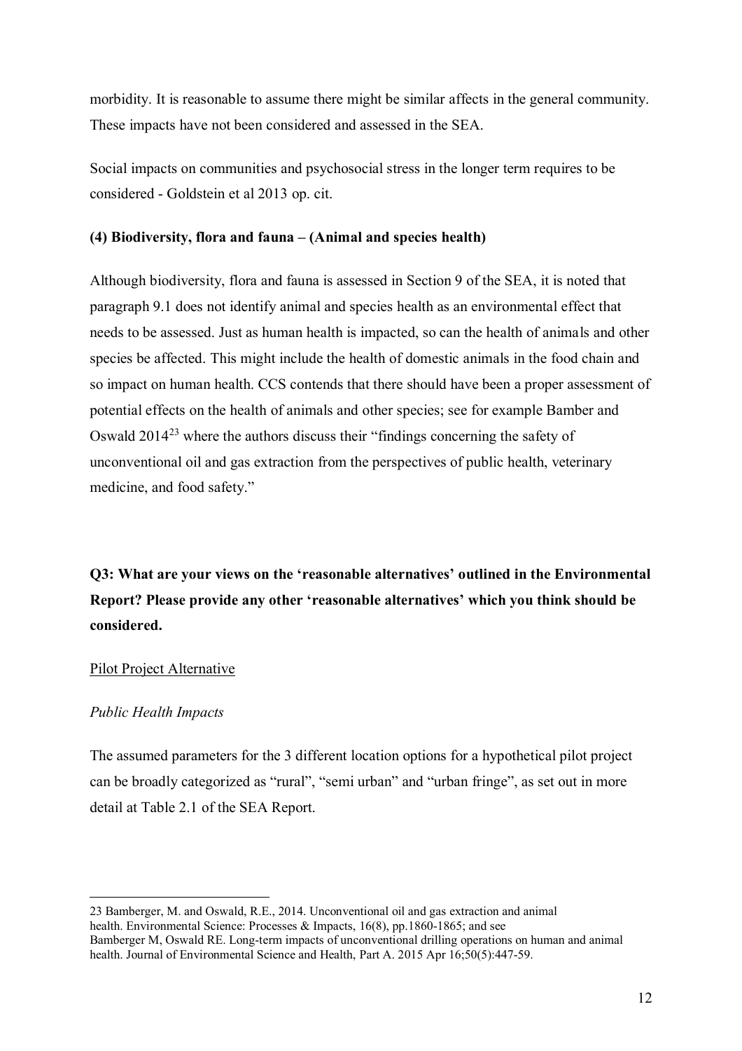morbidity. It is reasonable to assume there might be similar affects in the general community. These impacts have not been considered and assessed in the SEA.

Social impacts on communities and psychosocial stress in the longer term requires to be considered - Goldstein et al 2013 op. cit.

### **(4) Biodiversity, flora and fauna – (Animal and species health)**

Although biodiversity, flora and fauna is assessed in Section 9 of the SEA, it is noted that paragraph 9.1 does not identify animal and species health as an environmental effect that needs to be assessed. Just as human health is impacted, so can the health of animals and other species be affected. This might include the health of domestic animals in the food chain and so impact on human health. CCS contends that there should have been a proper assessment of potential effects on the health of animals and other species; see for example Bamber and Oswald 201423 where the authors discuss their "findings concerning the safety of unconventional oil and gas extraction from the perspectives of public health, veterinary medicine, and food safety."

**Q3: What are your views on the 'reasonable alternatives' outlined in the Environmental Report? Please provide any other 'reasonable alternatives' which you think should be considered.**

## Pilot Project Alternative

## *Public Health Impacts*

The assumed parameters for the 3 different location options for a hypothetical pilot project can be broadly categorized as "rural", "semi urban" and "urban fringe", as set out in more detail at Table 2.1 of the SEA Report.

 <sup>23</sup> Bamberger, M. and Oswald, R.E., 2014. Unconventional oil and gas extraction and animal health. Environmental Science: Processes & Impacts, 16(8), pp.1860-1865; and see Bamberger M, Oswald RE. Long-term impacts of unconventional drilling operations on human and animal health. Journal of Environmental Science and Health, Part A. 2015 Apr 16;50(5):447-59.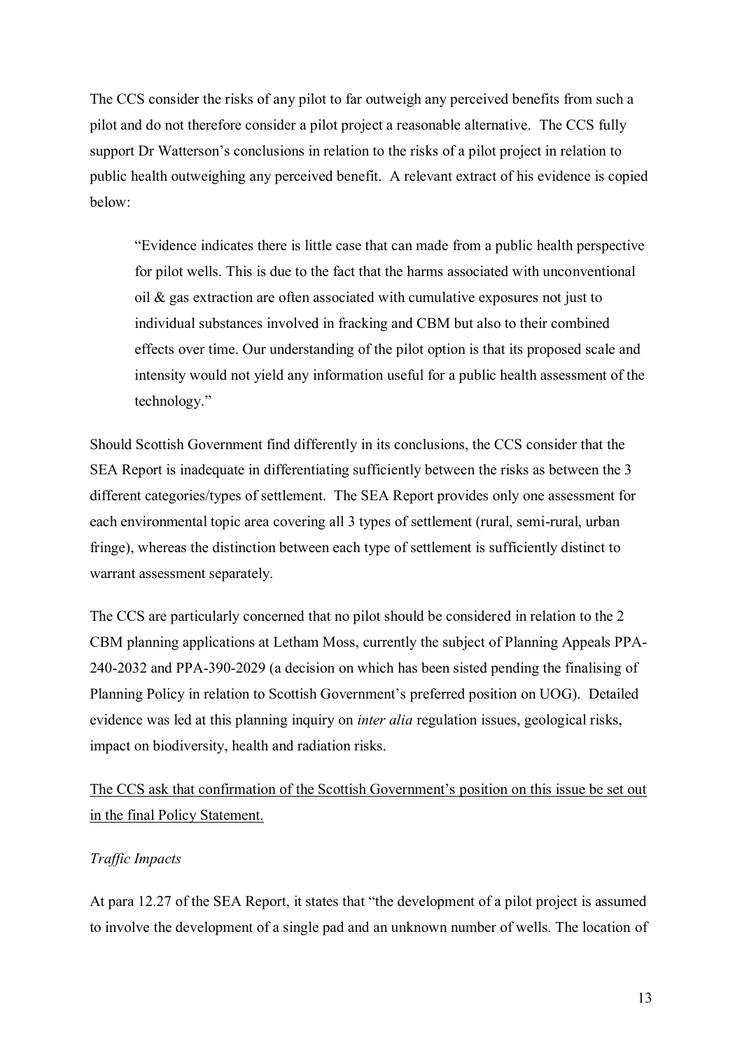The CCS consider the risks of any pilot to far outweigh any perceived benefits from such a pilot and do not therefore consider a pilot project a reasonable alternative. The CCS fully support Dr Watterson's conclusions in relation to the risks of a pilot project in relation to public health outweighing any perceived benefit. A relevant extract of his evidence is copied below:

"Evidence indicates there is little case that can made from a public health perspective for pilot wells. This is due to the fact that the harms associated with unconventional oil  $\&$  gas extraction are often associated with cumulative exposures not just to individual substances involved in fracking and CBM but also to their combined effects over time. Our understanding of the pilot option is that its proposed scale and intensity would not yield any information useful for a public health assessment of the technology."

Should Scottish Government find differently in its conclusions, the CCS consider that the SEA Report is inadequate in differentiating sufficiently between the risks as between the 3 different categories/types of settlement. The SEA Report provides only one assessment for each environmental topic area covering all 3 types of settlement (rural, semi-rural, urban fringe), whereas the distinction between each type of settlement is sufficiently distinct to warrant assessment separately.

The CCS are particularly concerned that no pilot should be considered in relation to the 2 CBM planning applications at Letham Moss, currently the subject of Planning Appeals PPA-240-2032 and PPA-390-2029 (a decision on which has been sisted pending the finalising of Planning Policy in relation to Scottish Government's preferred position on UOG). Detailed evidence was led at this planning inquiry on *inter alia* regulation issues, geological risks, impact on biodiversity, health and radiation risks.

The CCS ask that confirmation of the Scottish Government's position on this issue be set out in the final Policy Statement.

#### *Traffic Impacts*

At para 12.27 of the SEA Report, it states that "the development of a pilot project is assumed to involve the development of a single pad and an unknown number of wells. The location of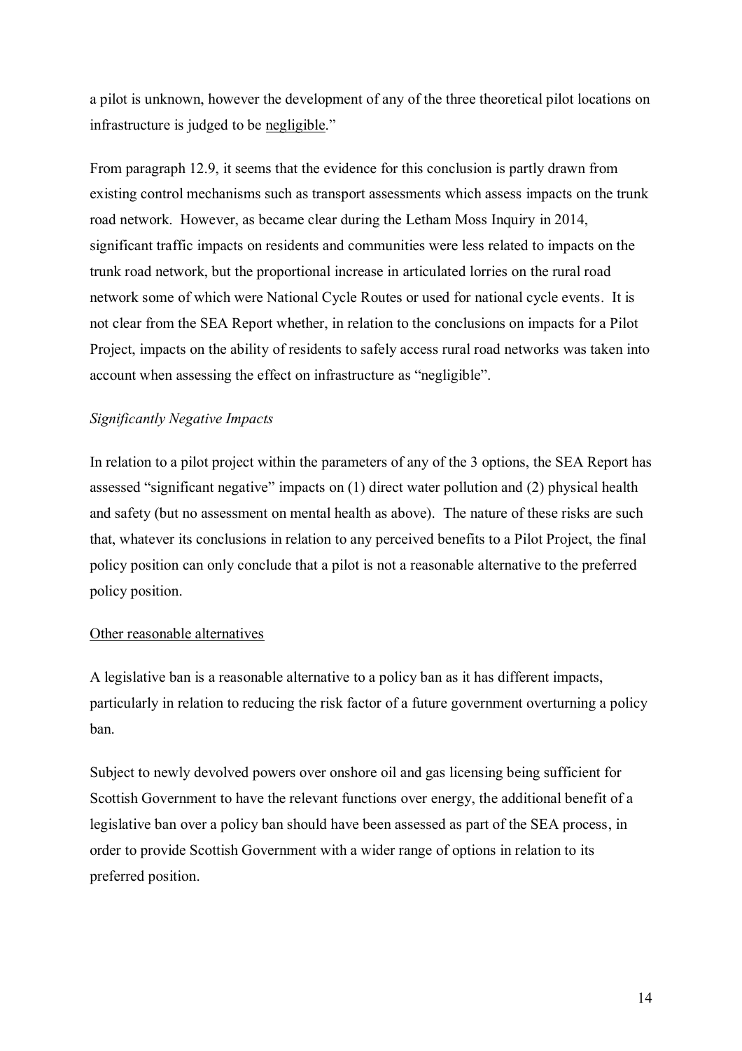a pilot is unknown, however the development of any of the three theoretical pilot locations on infrastructure is judged to be negligible."

From paragraph 12.9, it seems that the evidence for this conclusion is partly drawn from existing control mechanisms such as transport assessments which assess impacts on the trunk road network. However, as became clear during the Letham Moss Inquiry in 2014, significant traffic impacts on residents and communities were less related to impacts on the trunk road network, but the proportional increase in articulated lorries on the rural road network some of which were National Cycle Routes or used for national cycle events. It is not clear from the SEA Report whether, in relation to the conclusions on impacts for a Pilot Project, impacts on the ability of residents to safely access rural road networks was taken into account when assessing the effect on infrastructure as "negligible".

### *Significantly Negative Impacts*

In relation to a pilot project within the parameters of any of the 3 options, the SEA Report has assessed "significant negative" impacts on (1) direct water pollution and (2) physical health and safety (but no assessment on mental health as above). The nature of these risks are such that, whatever its conclusions in relation to any perceived benefits to a Pilot Project, the final policy position can only conclude that a pilot is not a reasonable alternative to the preferred policy position.

#### Other reasonable alternatives

A legislative ban is a reasonable alternative to a policy ban as it has different impacts, particularly in relation to reducing the risk factor of a future government overturning a policy ban.

Subject to newly devolved powers over onshore oil and gas licensing being sufficient for Scottish Government to have the relevant functions over energy, the additional benefit of a legislative ban over a policy ban should have been assessed as part of the SEA process, in order to provide Scottish Government with a wider range of options in relation to its preferred position.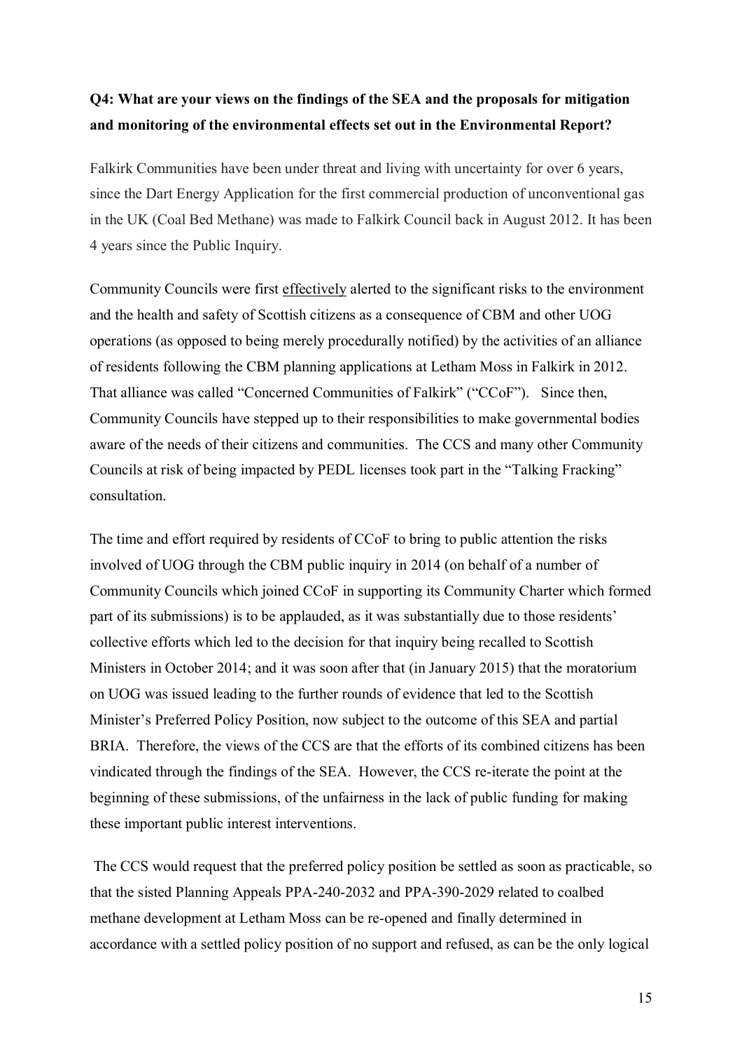# **Q4: What are your views on the findings of the SEA and the proposals for mitigation and monitoring of the environmental effects set out in the Environmental Report?**

Falkirk Communities have been under threat and living with uncertainty for over 6 years, since the Dart Energy Application for the first commercial production of unconventional gas in the UK (Coal Bed Methane) was made to Falkirk Council back in August 2012. It has been 4 years since the Public Inquiry.

Community Councils were first effectively alerted to the significant risks to the environment and the health and safety of Scottish citizens as a consequence of CBM and other UOG operations (as opposed to being merely procedurally notified) by the activities of an alliance of residents following the CBM planning applications at Letham Moss in Falkirk in 2012. That alliance was called "Concerned Communities of Falkirk" ("CCoF"). Since then, Community Councils have stepped up to their responsibilities to make governmental bodies aware of the needs of their citizens and communities. The CCS and many other Community Councils at risk of being impacted by PEDL licenses took part in the "Talking Fracking" consultation.

The time and effort required by residents of CCoF to bring to public attention the risks involved of UOG through the CBM public inquiry in 2014 (on behalf of a number of Community Councils which joined CCoF in supporting its Community Charter which formed part of its submissions) is to be applauded, as it was substantially due to those residents' collective efforts which led to the decision for that inquiry being recalled to Scottish Ministers in October 2014; and it was soon after that (in January 2015) that the moratorium on UOG was issued leading to the further rounds of evidence that led to the Scottish Minister's Preferred Policy Position, now subject to the outcome of this SEA and partial BRIA. Therefore, the views of the CCS are that the efforts of its combined citizens has been vindicated through the findings of the SEA. However, the CCS re-iterate the point at the beginning of these submissions, of the unfairness in the lack of public funding for making these important public interest interventions.

The CCS would request that the preferred policy position be settled as soon as practicable, so that the sisted Planning Appeals PPA-240-2032 and PPA-390-2029 related to coalbed methane development at Letham Moss can be re-opened and finally determined in accordance with a settled policy position of no support and refused, as can be the only logical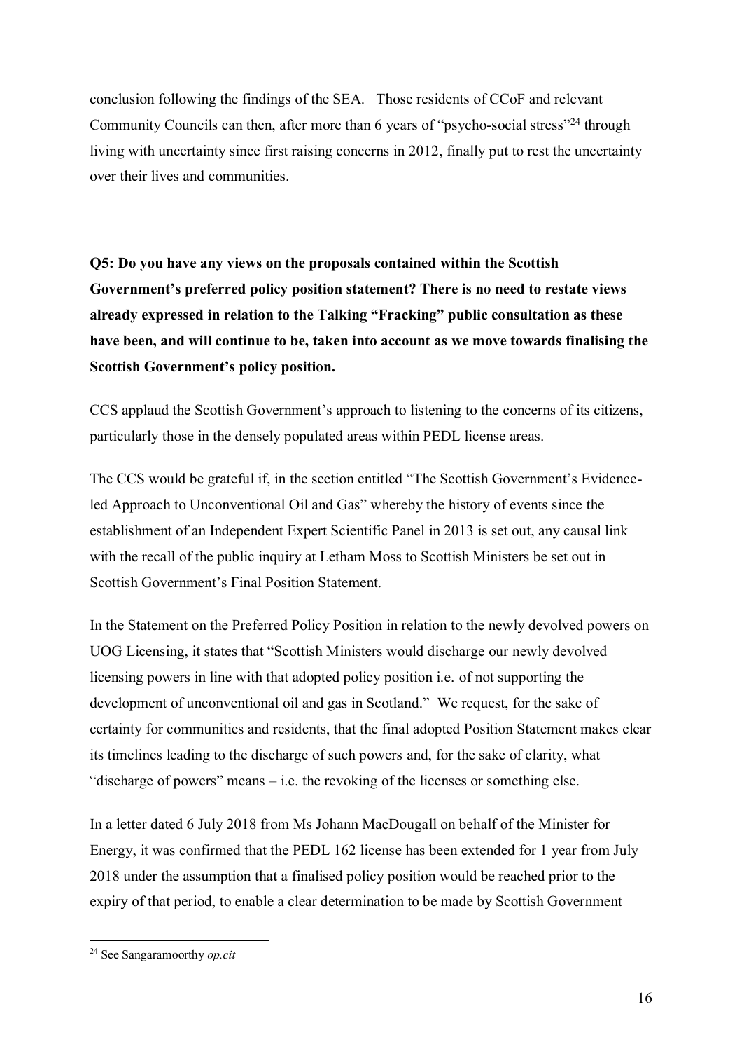conclusion following the findings of the SEA. Those residents of CCoF and relevant Community Councils can then, after more than 6 years of "psycho-social stress"<sup>24</sup> through living with uncertainty since first raising concerns in 2012, finally put to rest the uncertainty over their lives and communities.

**Q5: Do you have any views on the proposals contained within the Scottish Government's preferred policy position statement? There is no need to restate views already expressed in relation to the Talking "Fracking" public consultation as these have been, and will continue to be, taken into account as we move towards finalising the Scottish Government's policy position.**

CCS applaud the Scottish Government's approach to listening to the concerns of its citizens, particularly those in the densely populated areas within PEDL license areas.

The CCS would be grateful if, in the section entitled "The Scottish Government's Evidenceled Approach to Unconventional Oil and Gas" whereby the history of events since the establishment of an Independent Expert Scientific Panel in 2013 is set out, any causal link with the recall of the public inquiry at Letham Moss to Scottish Ministers be set out in Scottish Government's Final Position Statement.

In the Statement on the Preferred Policy Position in relation to the newly devolved powers on UOG Licensing, it states that "Scottish Ministers would discharge our newly devolved licensing powers in line with that adopted policy position i.e. of not supporting the development of unconventional oil and gas in Scotland." We request, for the sake of certainty for communities and residents, that the final adopted Position Statement makes clear its timelines leading to the discharge of such powers and, for the sake of clarity, what "discharge of powers" means – i.e. the revoking of the licenses or something else.

In a letter dated 6 July 2018 from Ms Johann MacDougall on behalf of the Minister for Energy, it was confirmed that the PEDL 162 license has been extended for 1 year from July 2018 under the assumption that a finalised policy position would be reached prior to the expiry of that period, to enable a clear determination to be made by Scottish Government

 <sup>24</sup> See Sangaramoorthy *op.cit*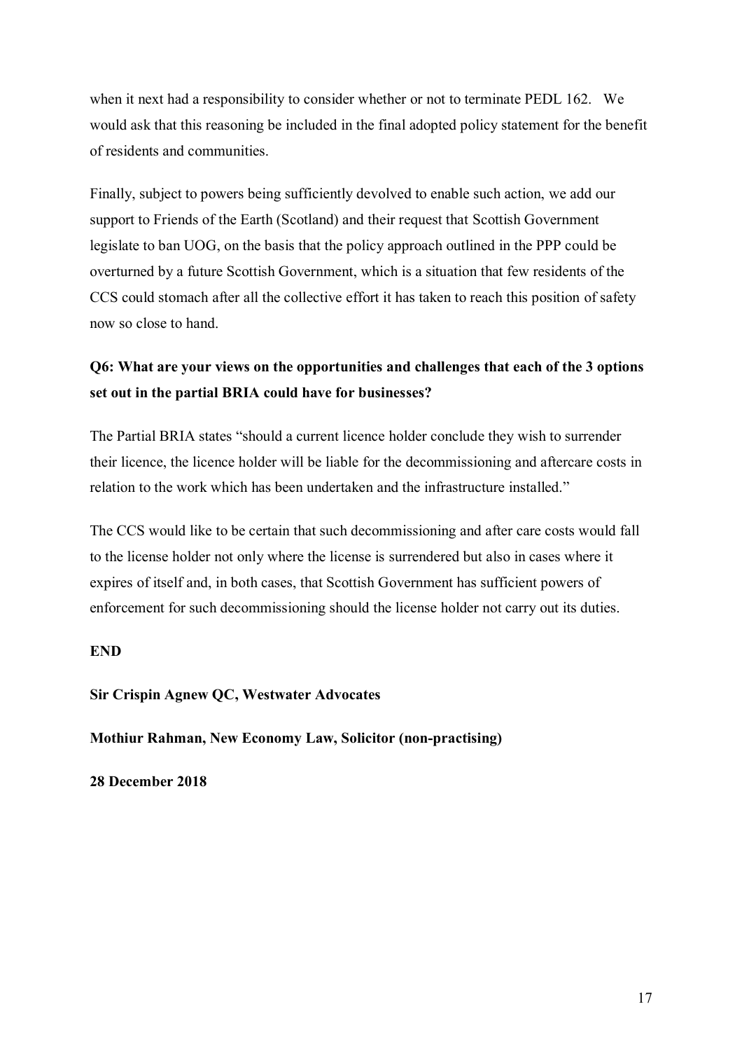when it next had a responsibility to consider whether or not to terminate PEDL 162. We would ask that this reasoning be included in the final adopted policy statement for the benefit of residents and communities.

Finally, subject to powers being sufficiently devolved to enable such action, we add our support to Friends of the Earth (Scotland) and their request that Scottish Government legislate to ban UOG, on the basis that the policy approach outlined in the PPP could be overturned by a future Scottish Government, which is a situation that few residents of the CCS could stomach after all the collective effort it has taken to reach this position of safety now so close to hand.

## **Q6: What are your views on the opportunities and challenges that each of the 3 options set out in the partial BRIA could have for businesses?**

The Partial BRIA states "should a current licence holder conclude they wish to surrender their licence, the licence holder will be liable for the decommissioning and aftercare costs in relation to the work which has been undertaken and the infrastructure installed."

The CCS would like to be certain that such decommissioning and after care costs would fall to the license holder not only where the license is surrendered but also in cases where it expires of itself and, in both cases, that Scottish Government has sufficient powers of enforcement for such decommissioning should the license holder not carry out its duties.

## **END**

#### **Sir Crispin Agnew QC, Westwater Advocates**

**Mothiur Rahman, New Economy Law, Solicitor (non-practising)**

**28 December 2018**